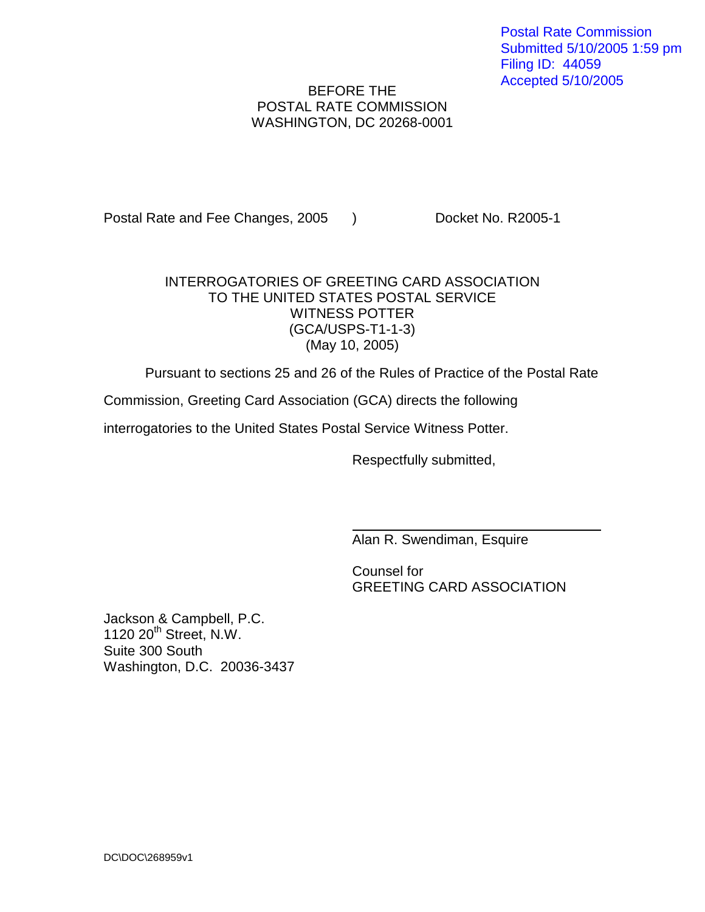## BEFORE THE POSTAL RATE COMMISSION WASHINGTON, DC 20268-0001

Postal Rate and Fee Changes, 2005 ) Docket No. R2005-1

## INTERROGATORIES OF GREETING CARD ASSOCIATION TO THE UNITED STATES POSTAL SERVICE WITNESS POTTER (GCA/USPS-T1-1-3) (May 10, 2005)

Pursuant to sections 25 and 26 of the Rules of Practice of the Postal Rate

Commission, Greeting Card Association (GCA) directs the following

interrogatories to the United States Postal Service Witness Potter.

Respectfully submitted,

Alan R. Swendiman, Esquire

Counsel for GREETING CARD ASSOCIATION

Jackson & Campbell, P.C. 1120 20<sup>th</sup> Street, N.W. Suite 300 South Washington, D.C. 20036-3437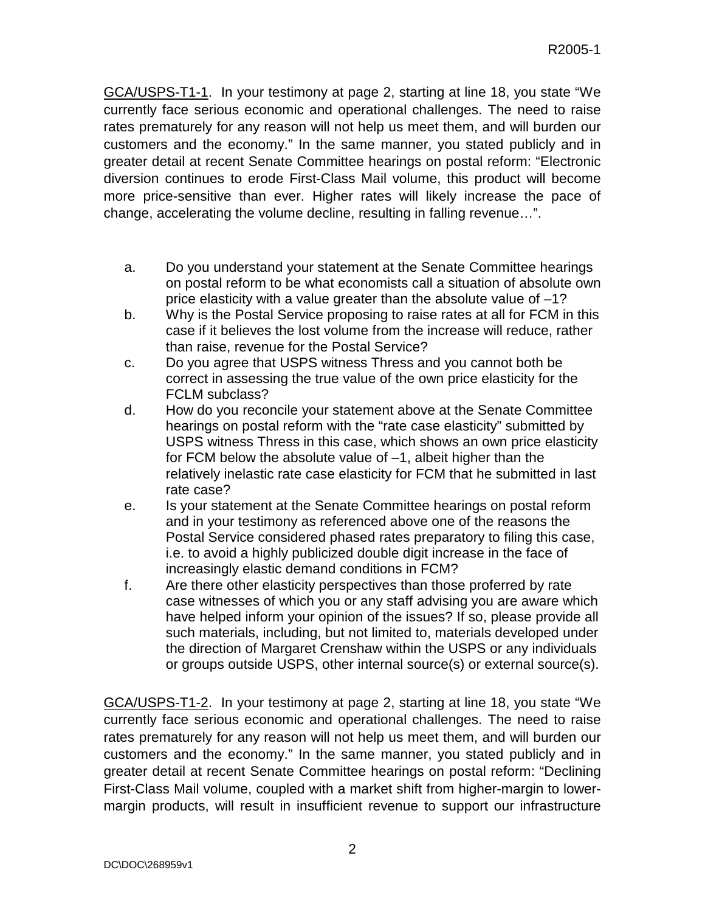GCA/USPS-T1-1. In your testimony at page 2, starting at line 18, you state "We currently face serious economic and operational challenges. The need to raise rates prematurely for any reason will not help us meet them, and will burden our customers and the economy." In the same manner, you stated publicly and in greater detail at recent Senate Committee hearings on postal reform: "Electronic diversion continues to erode First-Class Mail volume, this product will become more price-sensitive than ever. Higher rates will likely increase the pace of change, accelerating the volume decline, resulting in falling revenue…".

- a. Do you understand your statement at the Senate Committee hearings on postal reform to be what economists call a situation of absolute own price elasticity with a value greater than the absolute value of –1?
- b. Why is the Postal Service proposing to raise rates at all for FCM in this case if it believes the lost volume from the increase will reduce, rather than raise, revenue for the Postal Service?
- c. Do you agree that USPS witness Thress and you cannot both be correct in assessing the true value of the own price elasticity for the FCLM subclass?
- d. How do you reconcile your statement above at the Senate Committee hearings on postal reform with the "rate case elasticity" submitted by USPS witness Thress in this case, which shows an own price elasticity for FCM below the absolute value of –1, albeit higher than the relatively inelastic rate case elasticity for FCM that he submitted in last rate case?
- e. Is your statement at the Senate Committee hearings on postal reform and in your testimony as referenced above one of the reasons the Postal Service considered phased rates preparatory to filing this case, i.e. to avoid a highly publicized double digit increase in the face of increasingly elastic demand conditions in FCM?
- f. Are there other elasticity perspectives than those proferred by rate case witnesses of which you or any staff advising you are aware which have helped inform your opinion of the issues? If so, please provide all such materials, including, but not limited to, materials developed under the direction of Margaret Crenshaw within the USPS or any individuals or groups outside USPS, other internal source(s) or external source(s).

GCA/USPS-T1-2. In your testimony at page 2, starting at line 18, you state "We currently face serious economic and operational challenges. The need to raise rates prematurely for any reason will not help us meet them, and will burden our customers and the economy." In the same manner, you stated publicly and in greater detail at recent Senate Committee hearings on postal reform: "Declining First-Class Mail volume, coupled with a market shift from higher-margin to lowermargin products, will result in insufficient revenue to support our infrastructure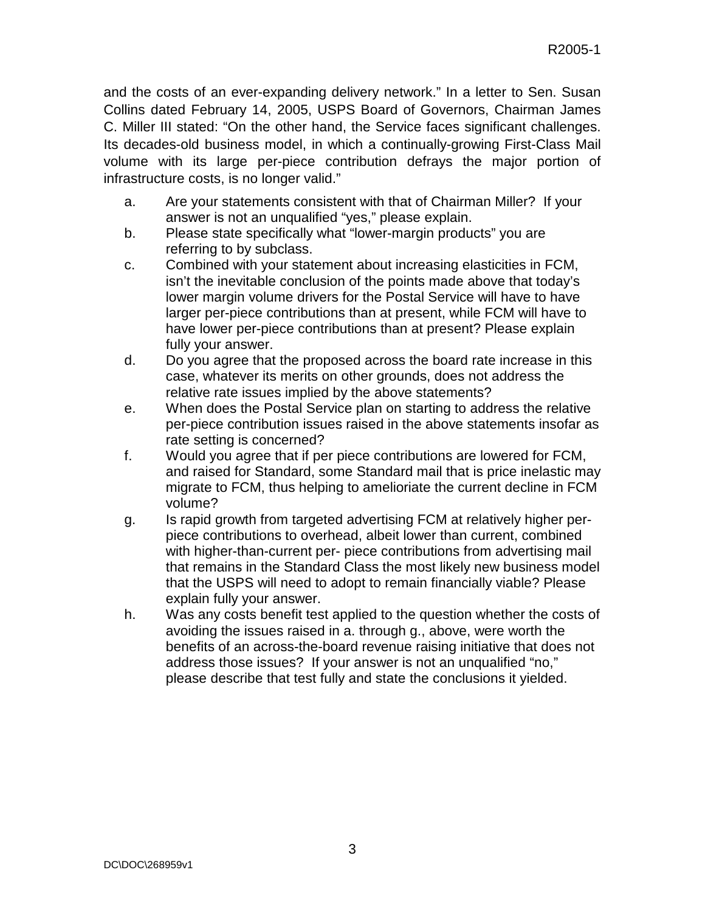and the costs of an ever-expanding delivery network." In a letter to Sen. Susan Collins dated February 14, 2005, USPS Board of Governors, Chairman James C. Miller III stated: "On the other hand, the Service faces significant challenges. Its decades-old business model, in which a continually-growing First-Class Mail volume with its large per-piece contribution defrays the major portion of infrastructure costs, is no longer valid."

- a. Are your statements consistent with that of Chairman Miller? If your answer is not an unqualified "yes," please explain.
- b. Please state specifically what "lower-margin products" you are referring to by subclass.
- c. Combined with your statement about increasing elasticities in FCM, isn't the inevitable conclusion of the points made above that today's lower margin volume drivers for the Postal Service will have to have larger per-piece contributions than at present, while FCM will have to have lower per-piece contributions than at present? Please explain fully your answer.
- d. Do you agree that the proposed across the board rate increase in this case, whatever its merits on other grounds, does not address the relative rate issues implied by the above statements?
- e. When does the Postal Service plan on starting to address the relative per-piece contribution issues raised in the above statements insofar as rate setting is concerned?
- f. Would you agree that if per piece contributions are lowered for FCM, and raised for Standard, some Standard mail that is price inelastic may migrate to FCM, thus helping to amelioriate the current decline in FCM volume?
- g. Is rapid growth from targeted advertising FCM at relatively higher perpiece contributions to overhead, albeit lower than current, combined with higher-than-current per- piece contributions from advertising mail that remains in the Standard Class the most likely new business model that the USPS will need to adopt to remain financially viable? Please explain fully your answer.
- h. Was any costs benefit test applied to the question whether the costs of avoiding the issues raised in a. through g., above, were worth the benefits of an across-the-board revenue raising initiative that does not address those issues? If your answer is not an unqualified "no," please describe that test fully and state the conclusions it yielded.